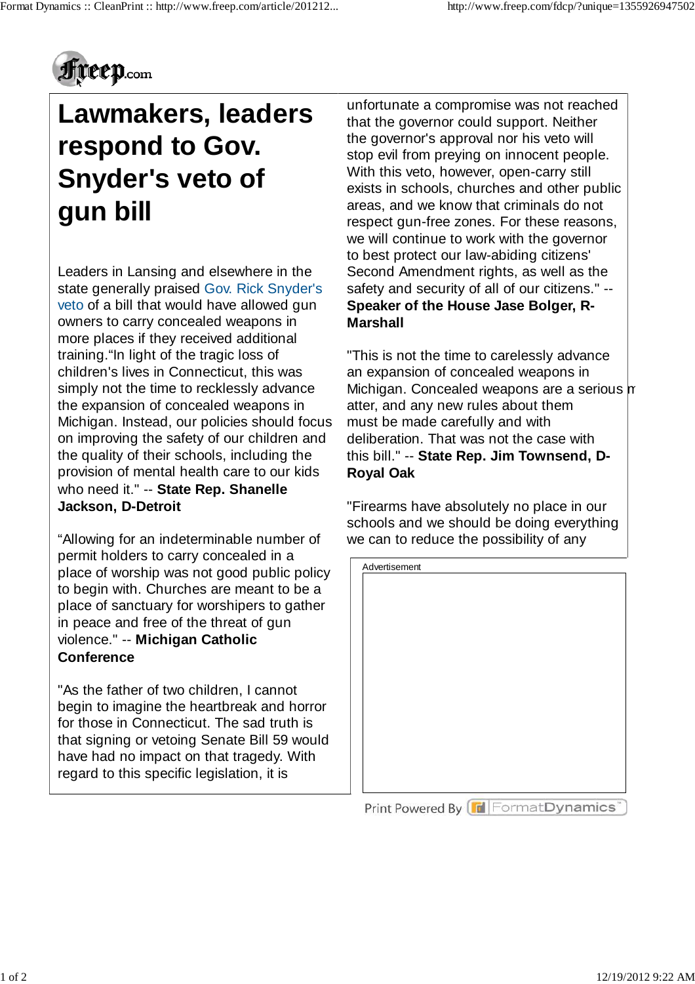

# **Lawmakers, leaders respond to Gov. Snyder's veto of gun bill**

Leaders in Lansing and elsewhere in the state generally praised Gov. Rick Snyder's veto of a bill that would have allowed gun owners to carry concealed weapons in more places if they received additional training."In light of the tragic loss of children's lives in Connecticut, this was simply not the time to recklessly advance the expansion of concealed weapons in Michigan. Instead, our policies should focus on improving the safety of our children and the quality of their schools, including the provision of mental health care to our kids who need it." -- **State Rep. Shanelle Jackson, D-Detroit**

"Allowing for an indeterminable number of permit holders to carry concealed in a place of worship was not good public policy to begin with. Churches are meant to be a place of sanctuary for worshipers to gather in peace and free of the threat of gun violence." -- **Michigan Catholic Conference**

"As the father of two children, I cannot begin to imagine the heartbreak and horror for those in Connecticut. The sad truth is that signing or vetoing Senate Bill 59 would have had no impact on that tragedy. With regard to this specific legislation, it is

unfortunate a compromise was not reached that the governor could support. Neither the governor's approval nor his veto will stop evil from preying on innocent people. With this veto, however, open-carry still exists in schools, churches and other public areas, and we know that criminals do not respect gun-free zones. For these reasons, we will continue to work with the governor to best protect our law-abiding citizens' Second Amendment rights, as well as the safety and security of all of our citizens." -- **Speaker of the House Jase Bolger, R-Marshall**

"This is not the time to carelessly advance an expansion of concealed weapons in Michigan. Concealed weapons are a serious m atter, and any new rules about them must be made carefully and with deliberation. That was not the case with this bill." -- **State Rep. Jim Townsend, D-Royal Oak**

"Firearms have absolutely no place in our schools and we should be doing everything we can to reduce the possibility of any



Print Powered By FormatDynamics